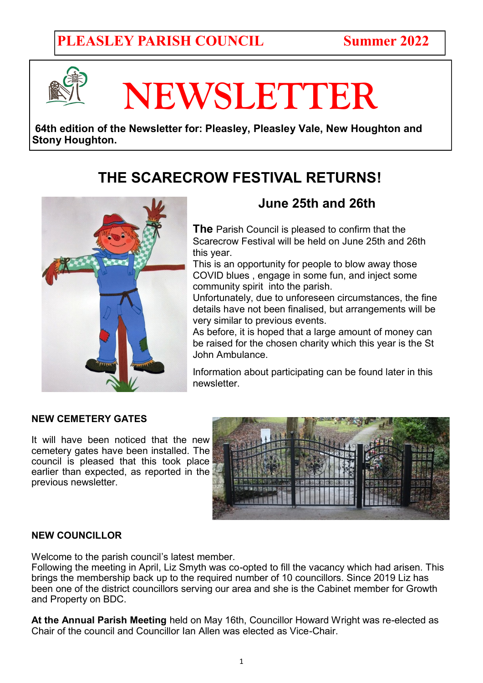## **PLEASLEY PARISH COUNCIL Summer 2022**



# **NEWSLETTER**

**64th edition of the Newsletter for: Pleasley, Pleasley Vale, New Houghton and Stony Houghton.** 

## **THE SCARECROW FESTIVAL RETURNS!**



## **June 25th and 26th**

**The** Parish Council is pleased to confirm that the Scarecrow Festival will be held on June 25th and 26th this year.

This is an opportunity for people to blow away those COVID blues , engage in some fun, and inject some community spirit into the parish.

Unfortunately, due to unforeseen circumstances, the fine details have not been finalised, but arrangements will be very similar to previous events.

As before, it is hoped that a large amount of money can be raised for the chosen charity which this year is the St John Ambulance.

Information about participating can be found later in this newsletter.

#### **NEW CEMETERY GATES**

It will have been noticed that the new cemetery gates have been installed. The council is pleased that this took place earlier than expected, as reported in the previous newsletter.



#### **NEW COUNCILLOR**

Welcome to the parish council's latest member.

Following the meeting in April, Liz Smyth was co-opted to fill the vacancy which had arisen. This brings the membership back up to the required number of 10 councillors. Since 2019 Liz has been one of the district councillors serving our area and she is the Cabinet member for Growth and Property on BDC.

**At the Annual Parish Meeting** held on May 16th, Councillor Howard Wright was re-elected as Chair of the council and Councillor Ian Allen was elected as Vice-Chair.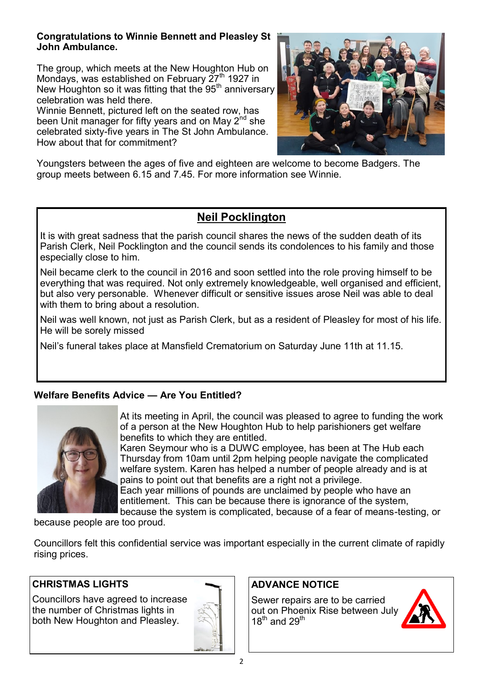#### **Congratulations to Winnie Bennett and Pleasley St John Ambulance.**

The group, which meets at the New Houghton Hub on Mondays, was established on February  $27<sup>th</sup>$  1927 in New Houghton so it was fitting that the 95<sup>th</sup> anniversary celebration was held there.

Winnie Bennett, pictured left on the seated row, has been Unit manager for fifty years and on May 2<sup>nd</sup> she celebrated sixty-five years in The St John Ambulance. How about that for commitment?



Youngsters between the ages of five and eighteen are welcome to become Badgers. The group meets between 6.15 and 7.45. For more information see Winnie.

### **Neil Pocklington**

It is with great sadness that the parish council shares the news of the sudden death of its Parish Clerk, Neil Pocklington and the council sends its condolences to his family and those especially close to him.

Neil became clerk to the council in 2016 and soon settled into the role proving himself to be everything that was required. Not only extremely knowledgeable, well organised and efficient, but also very personable. Whenever difficult or sensitive issues arose Neil was able to deal with them to bring about a resolution.

Neil was well known, not just as Parish Clerk, but as a resident of Pleasley for most of his life. He will be sorely missed

Neil's funeral takes place at Mansfield Crematorium on Saturday June 11th at 11.15.

#### **Welfare Benefits Advice — Are You Entitled?**



At its meeting in April, the council was pleased to agree to funding the work of a person at the New Houghton Hub to help parishioners get welfare benefits to which they are entitled.

Karen Seymour who is a DUWC employee, has been at The Hub each Thursday from 10am until 2pm helping people navigate the complicated welfare system. Karen has helped a number of people already and is at pains to point out that benefits are a right not a privilege.

Each year millions of pounds are unclaimed by people who have an entitlement. This can be because there is ignorance of the system,

because the system is complicated, because of a fear of means-testing, or

because people are too proud.

Councillors felt this confidential service was important especially in the current climate of rapidly rising prices.

#### **CHRISTMAS LIGHTS**

Councillors have agreed to increase the number of Christmas lights in both New Houghton and Pleasley.



#### **ADVANCE NOTICE**

Sewer repairs are to be carried out on Phoenix Rise between July  $18^{th}$  and  $29^{th}$ 

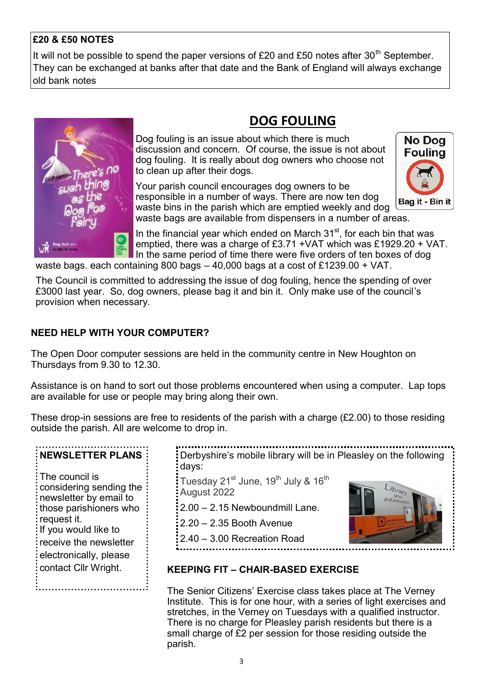#### **£20 & £50 NOTES**

It will not be possible to spend the paper versions of £20 and £50 notes after  $30<sup>th</sup>$  September. They can be exchanged at banks after that date and the Bank of England will always exchange old bank notes



## **DOG FOULING**

Dog fouling is an issue about which there is much discussion and concern. Of course, the issue is not about dog fouling. It is really about dog owners who choose not to clean up after their dogs.

Your parish council encourages dog owners to be responsible in a number of ways. There are now ten dog waste bins in the parish which are emptied weekly and dog waste bags are available from dispensers in a number of areas.



In the financial year which ended on March  $31<sup>st</sup>$ , for each bin that was emptied, there was a charge of £3.71 +VAT which was £1929.20 + VAT. In the same period of time there were five orders of ten boxes of dog

waste bags. each containing 800 bags – 40,000 bags at a cost of £1239.00 + VAT.

The Council is committed to addressing the issue of dog fouling, hence the spending of over £3000 last year. So, dog owners, please bag it and bin it. Only make use of the council's provision when necessary.

#### **NEED HELP WITH YOUR COMPUTER?**

The Open Door computer sessions are held in the community centre in New Houghton on Thursdays from 9.30 to 12.30.

Assistance is on hand to sort out those problems encountered when using a computer. Lap tops are available for use or people may bring along their own.

These drop-in sessions are free to residents of the parish with a charge (£2.00) to those residing outside the parish. All are welcome to drop in.

| <b>NEWSLETTER PLANS</b>                                                                                                                                                                                          |  |
|------------------------------------------------------------------------------------------------------------------------------------------------------------------------------------------------------------------|--|
| The council is<br>considering sending the<br>newsletter by email to<br>those parishioners who<br>request it.<br>If you would like to<br>receive the newsletter<br>electronically, please<br>contact Cllr Wright. |  |
|                                                                                                                                                                                                                  |  |

Derbyshire's mobile library will be in Pleasley on the following days:

Tuesday 21<sup>st</sup> June, 19<sup>th</sup> July & 16<sup>th</sup> August 2022

2.00 – 2.15 Newboundmill Lane.

2.20 – 2.35 Booth Avenue

2.40 – 3.00 Recreation Road



#### **KEEPING FIT – CHAIR-BASED EXERCISE**

The Senior Citizens' Exercise class takes place at The Verney Institute. This is for one hour, with a series of light exercises and stretches, in the Verney on Tuesdays with a qualified instructor. There is no charge for Pleasley parish residents but there is a small charge of £2 per session for those residing outside the parish.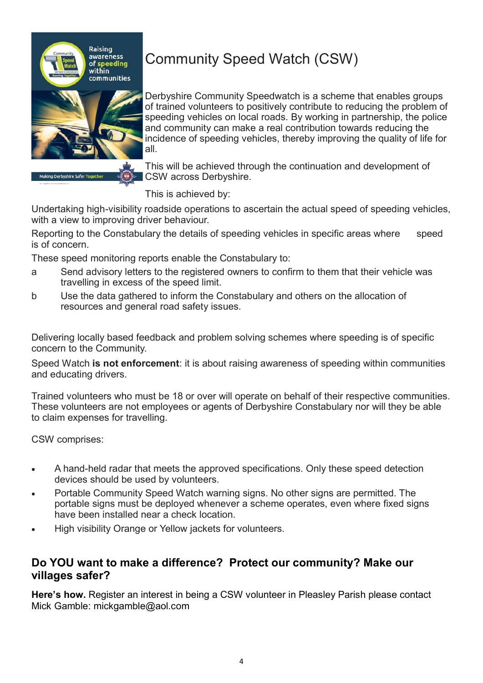

## Community Speed Watch (CSW)

Derbyshire Community Speedwatch is a scheme that enables groups of trained volunteers to positively contribute to reducing the problem of speeding vehicles on local roads. By working in partnership, the police and community can make a real contribution towards reducing the incidence of speeding vehicles, thereby improving the quality of life for all.

This will be achieved through the continuation and development of CSW across Derbyshire.

This is achieved by:

Undertaking high-visibility roadside operations to ascertain the actual speed of speeding vehicles, with a view to improving driver behaviour.

Reporting to the Constabulary the details of speeding vehicles in specific areas where speed is of concern.

These speed monitoring reports enable the Constabulary to:

- a Send advisory letters to the registered owners to confirm to them that their vehicle was travelling in excess of the speed limit.
- b Use the data gathered to inform the Constabulary and others on the allocation of resources and general road safety issues.

Delivering locally based feedback and problem solving schemes where speeding is of specific concern to the Community.

Speed Watch **is not enforcement**: it is about raising awareness of speeding within communities and educating drivers.

Trained volunteers who must be 18 or over will operate on behalf of their respective communities. These volunteers are not employees or agents of Derbyshire Constabulary nor will they be able to claim expenses for travelling.

CSW comprises:

- A hand-held radar that meets the approved specifications. Only these speed detection devices should be used by volunteers.
- Portable Community Speed Watch warning signs. No other signs are permitted. The portable signs must be deployed whenever a scheme operates, even where fixed signs have been installed near a check location.
- High visibility Orange or Yellow jackets for volunteers.

#### **Do YOU want to make a difference? Protect our community? Make our villages safer?**

**Here's how.** Register an interest in being a CSW volunteer in Pleasley Parish please contact Mick Gamble: mickgamble@aol.com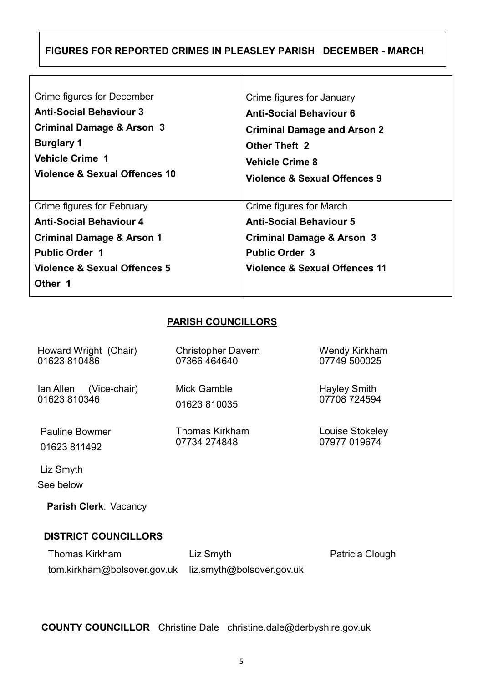#### **FIGURES FOR REPORTED CRIMES IN PLEASLEY PARISH DECEMBER - MARCH**

Τ

| Crime figures for December                                                                                                                                               | Crime figures for January                                                                                                                                   |
|--------------------------------------------------------------------------------------------------------------------------------------------------------------------------|-------------------------------------------------------------------------------------------------------------------------------------------------------------|
| <b>Anti-Social Behaviour 3</b>                                                                                                                                           | <b>Anti-Social Behaviour 6</b>                                                                                                                              |
| <b>Criminal Damage &amp; Arson 3</b>                                                                                                                                     | <b>Criminal Damage and Arson 2</b>                                                                                                                          |
| <b>Burglary 1</b>                                                                                                                                                        | <b>Other Theft 2</b>                                                                                                                                        |
| <b>Vehicle Crime 1</b>                                                                                                                                                   | <b>Vehicle Crime 8</b>                                                                                                                                      |
| Violence & Sexual Offences 10                                                                                                                                            | Violence & Sexual Offences 9                                                                                                                                |
| Crime figures for February<br><b>Anti-Social Behaviour 4</b><br><b>Criminal Damage &amp; Arson 1</b><br><b>Public Order 1</b><br>Violence & Sexual Offences 5<br>Other 1 | Crime figures for March<br><b>Anti-Social Behaviour 5</b><br>Criminal Damage & Arson 3<br><b>Public Order 3</b><br><b>Violence &amp; Sexual Offences 11</b> |

#### **PARISH COUNCILLORS**

| Howard Wright (Chair)  | <b>Christopher Davern</b> | <b>Wendy Kirkham</b> |
|------------------------|---------------------------|----------------------|
| 01623 810486           | 07366 464640              | 07749 500025         |
| lan Allen (Vice-chair) | Mick Gamble               | <b>Hayley Smith</b>  |
| 01623 810346           | 01623 810035              | 07708 724594         |
| <b>Pauline Bowmer</b>  | Thomas Kirkham            | Louise Stokeley      |
| 01623 811492           | 07734 274848              | 07977 019674         |
| Liz Smyth<br>See below |                           |                      |

 **Parish Clerk**: Vacancy

#### **DISTRICT COUNCILLORS**

Thomas Kirkham tom.kirkham@bolsover.gov.uk liz.smyth@bolsover.gov.uk Liz Smyth Patricia Clough

**COUNTY COUNCILLOR** Christine Dale[christine.dale@derbyshire.gov.uk](mailto:christine.dale@derbyshire.gov.uk)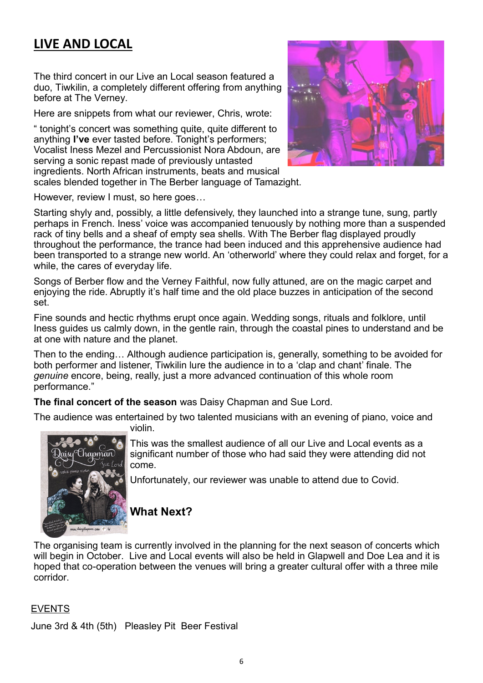## **LIVE AND LOCAL**

The third concert in our Live an Local season featured a duo, Tiwkilin, a completely different offering from anything before at The Verney.

Here are snippets from what our reviewer, Chris, wrote:

" tonight's concert was something quite, quite different to anything **I've** ever tasted before. Tonight's performers; Vocalist Iness Mezel and Percussionist Nora Abdoun, are serving a sonic repast made of previously untasted ingredients. North African instruments, beats and musical scales blended together in The Berber language of Tamazight.



However, review I must, so here goes…

Starting shyly and, possibly, a little defensively, they launched into a strange tune, sung, partly perhaps in French. Iness' voice was accompanied tenuously by nothing more than a suspended rack of tiny bells and a sheaf of empty sea shells. With The Berber flag displayed proudly throughout the performance, the trance had been induced and this apprehensive audience had been transported to a strange new world. An 'otherworld' where they could relax and forget, for a while, the cares of everyday life.

Songs of Berber flow and the Verney Faithful, now fully attuned, are on the magic carpet and enjoying the ride. Abruptly it's half time and the old place buzzes in anticipation of the second set.

Fine sounds and hectic rhythms erupt once again. Wedding songs, rituals and folklore, until Iness guides us calmly down, in the gentle rain, through the coastal pines to understand and be at one with nature and the planet.

Then to the ending… Although audience participation is, generally, something to be avoided for both performer and listener, Tiwkilin lure the audience in to a 'clap and chant' finale. The *genuine* encore, being, really, just a more advanced continuation of this whole room performance."

**The final concert of the season** was Daisy Chapman and Sue Lord.

The audience was entertained by two talented musicians with an evening of piano, voice and

<sup>5</sup>Chapman

This was the smallest audience of all our Live and Local events as a significant number of those who had said they were attending did not come.

Unfortunately, our reviewer was unable to attend due to Covid.

#### **What Next?**

violin.

The organising team is currently involved in the planning for the next season of concerts which will begin in October. Live and Local events will also be held in Glapwell and Doe Lea and it is hoped that co-operation between the venues will bring a greater cultural offer with a three mile corridor.

#### EVENTS

June 3rd & 4th (5th) Pleasley Pit Beer Festival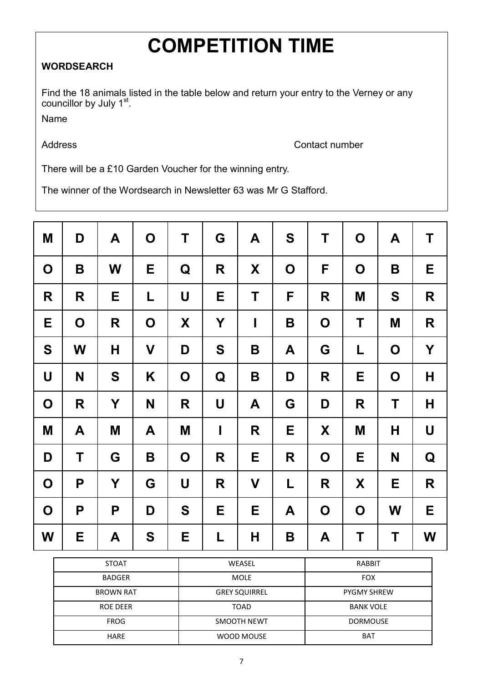## **COMPETITION TIME**

#### **WORDSEARCH**

Find the 18 animals listed in the table below and return your entry to the Verney or any councillor by July 1<sup>st</sup>.

Name

Address **Contact number** 

There will be a £10 Garden Voucher for the winning entry.

The winner of the Wordsearch in Newsletter 63 was Mr G Stafford.

| M           | D           | A | $\mathbf O$ | T           | G            | A            | S           | Τ           | $\mathbf O$ | A           | Τ            |
|-------------|-------------|---|-------------|-------------|--------------|--------------|-------------|-------------|-------------|-------------|--------------|
| $\mathbf O$ | B           | W | Е           | Q           | R            | X            | $\mathbf O$ | F           | $\mathbf O$ | B           | Е            |
| R           | R           | Е | L           | U           | Е            | Τ            | F           | R           | M           | S           | R            |
| Е           | $\mathbf O$ | R | $\mathbf O$ | X           | Y            | $\mathbf{I}$ | B           | $\mathbf O$ | Τ           | M           | R            |
| S           | W           | H | $\mathbf V$ | D           | S            | B            | A           | G           | L           | $\mathbf O$ | Y            |
| U           | N           | S | K           | $\mathbf O$ | Q            | B            | D           | R           | Е           | $\mathbf O$ | $\mathsf{H}$ |
| $\mathbf O$ | R           | Y | N           | R           | $\mathsf{U}$ | A            | G           | D           | R           | T           | $\mathsf H$  |
| M           | A           | M | A           | M           | I            | R            | Е           | X           | M           | Н           | U            |
| D           | T           | G | B           | $\mathbf O$ | R            | Е            | R           | $\mathbf O$ | Е           | N           | Q            |
| $\mathbf O$ | P           | Y | G           | U           | R            | V            | L           | R           | X           | Е           | R            |
| $\mathbf O$ | P           | P | D           | S           | E            | Е            | A           | $\mathbf O$ | $\mathbf O$ | W           | E            |
| W           | E           | A | S           | Е           | L            | н            | B           | A           | Τ           | Τ           | W            |

| <b>STOAT</b>     | WEASEL               | <b>RABBIT</b>      |
|------------------|----------------------|--------------------|
| <b>BADGER</b>    | <b>MOLE</b>          | <b>FOX</b>         |
| <b>BROWN RAT</b> | <b>GREY SQUIRREL</b> | <b>PYGMY SHREW</b> |
| <b>ROE DEER</b>  | <b>TOAD</b>          | <b>BANK VOLE</b>   |
| <b>FROG</b>      | SMOOTH NEWT          | <b>DORMOUSE</b>    |
| <b>HARE</b>      | WOOD MOUSE           | <b>BAT</b>         |